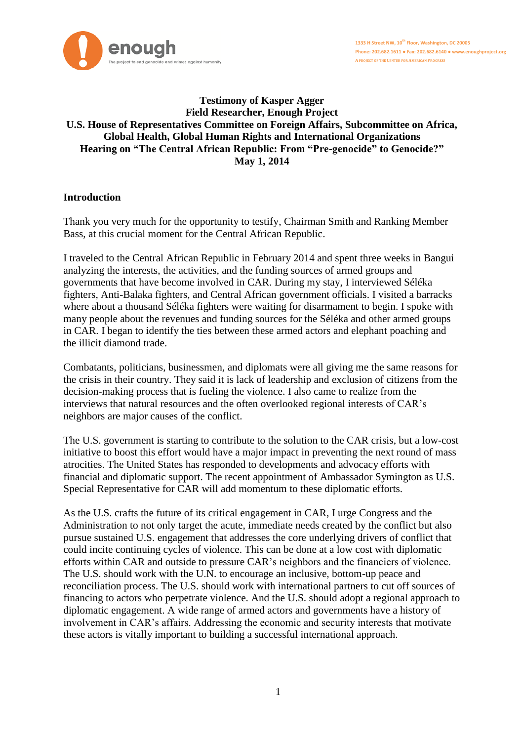

### **Testimony of Kasper Agger Field Researcher, Enough Project U.S. House of Representatives Committee on Foreign Affairs, Subcommittee on Africa, Global Health, Global Human Rights and International Organizations Hearing on "The Central African Republic: From "Pre-genocide" to Genocide?" May 1, 2014**

# **Introduction**

Thank you very much for the opportunity to testify, Chairman Smith and Ranking Member Bass, at this crucial moment for the Central African Republic.

I traveled to the Central African Republic in February 2014 and spent three weeks in Bangui analyzing the interests, the activities, and the funding sources of armed groups and governments that have become involved in CAR. During my stay, I interviewed Séléka fighters, Anti-Balaka fighters, and Central African government officials. I visited a barracks where about a thousand Séléka fighters were waiting for disarmament to begin. I spoke with many people about the revenues and funding sources for the Séléka and other armed groups in CAR. I began to identify the ties between these armed actors and elephant poaching and the illicit diamond trade.

Combatants, politicians, businessmen, and diplomats were all giving me the same reasons for the crisis in their country. They said it is lack of leadership and exclusion of citizens from the decision-making process that is fueling the violence. I also came to realize from the interviews that natural resources and the often overlooked regional interests of CAR's neighbors are major causes of the conflict.

The U.S. government is starting to contribute to the solution to the CAR crisis, but a low-cost initiative to boost this effort would have a major impact in preventing the next round of mass atrocities. The United States has responded to developments and advocacy efforts with financial and diplomatic support. The recent appointment of Ambassador Symington as U.S. Special Representative for CAR will add momentum to these diplomatic efforts.

As the U.S. crafts the future of its critical engagement in CAR, I urge Congress and the Administration to not only target the acute, immediate needs created by the conflict but also pursue sustained U.S. engagement that addresses the core underlying drivers of conflict that could incite continuing cycles of violence. This can be done at a low cost with diplomatic efforts within CAR and outside to pressure CAR's neighbors and the financiers of violence. The U.S. should work with the U.N. to encourage an inclusive, bottom-up peace and reconciliation process. The U.S. should work with international partners to cut off sources of financing to actors who perpetrate violence. And the U.S. should adopt a regional approach to diplomatic engagement. A wide range of armed actors and governments have a history of involvement in CAR's affairs. Addressing the economic and security interests that motivate these actors is vitally important to building a successful international approach.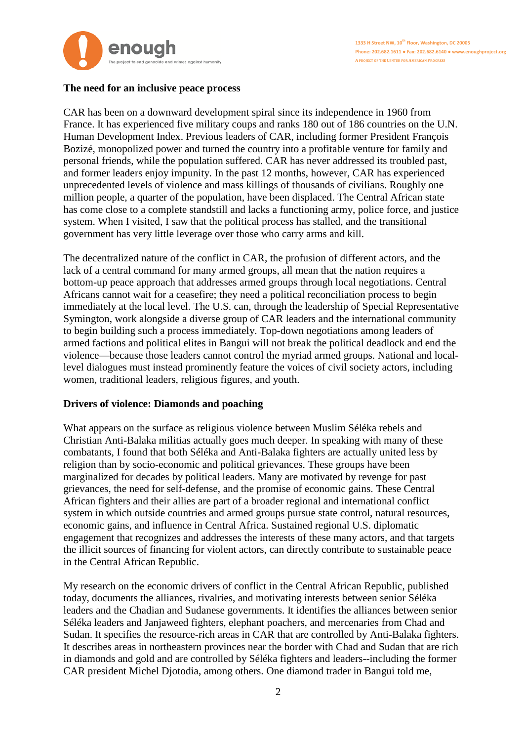

# **The need for an inclusive peace process**

CAR has been on a downward development spiral since its independence in 1960 from France. It has experienced five military coups and ranks 180 out of 186 countries on the U.N. Human Development Index. Previous leaders of CAR, including former President François Bozizé, monopolized power and turned the country into a profitable venture for family and personal friends, while the population suffered. CAR has never addressed its troubled past, and former leaders enjoy impunity. In the past 12 months, however, CAR has experienced unprecedented levels of violence and mass killings of thousands of civilians. Roughly one million people, a quarter of the population, have been displaced. The Central African state has come close to a complete standstill and lacks a functioning army, police force, and justice system. When I visited, I saw that the political process has stalled, and the transitional government has very little leverage over those who carry arms and kill.

The decentralized nature of the conflict in CAR, the profusion of different actors, and the lack of a central command for many armed groups, all mean that the nation requires a bottom-up peace approach that addresses armed groups through local negotiations. Central Africans cannot wait for a ceasefire; they need a political reconciliation process to begin immediately at the local level. The U.S. can, through the leadership of Special Representative Symington, work alongside a diverse group of CAR leaders and the international community to begin building such a process immediately. Top-down negotiations among leaders of armed factions and political elites in Bangui will not break the political deadlock and end the violence—because those leaders cannot control the myriad armed groups. National and locallevel dialogues must instead prominently feature the voices of civil society actors, including women, traditional leaders, religious figures, and youth.

# **Drivers of violence: Diamonds and poaching**

What appears on the surface as religious violence between Muslim Séléka rebels and Christian Anti-Balaka militias actually goes much deeper. In speaking with many of these combatants, I found that both Séléka and Anti-Balaka fighters are actually united less by religion than by socio-economic and political grievances. These groups have been marginalized for decades by political leaders. Many are motivated by revenge for past grievances, the need for self-defense, and the promise of economic gains. These Central African fighters and their allies are part of a broader regional and international conflict system in which outside countries and armed groups pursue state control, natural resources, economic gains, and influence in Central Africa. Sustained regional U.S. diplomatic engagement that recognizes and addresses the interests of these many actors, and that targets the illicit sources of financing for violent actors, can directly contribute to sustainable peace in the Central African Republic.

My research on the economic drivers of conflict in the Central African Republic, published today, documents the alliances, rivalries, and motivating interests between senior Séléka leaders and the Chadian and Sudanese governments. It identifies the alliances between senior Séléka leaders and Janjaweed fighters, elephant poachers, and mercenaries from Chad and Sudan. It specifies the resource-rich areas in CAR that are controlled by Anti-Balaka fighters. It describes areas in northeastern provinces near the border with Chad and Sudan that are rich in diamonds and gold and are controlled by Séléka fighters and leaders--including the former CAR president Michel Djotodia, among others. One diamond trader in Bangui told me,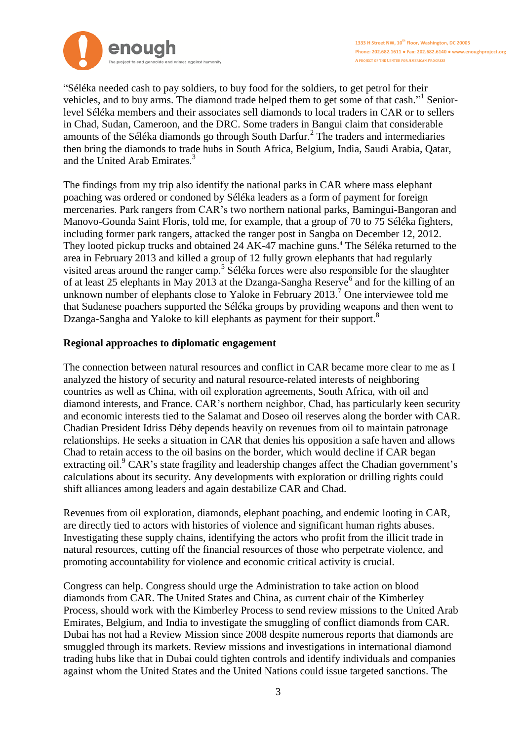

"Séléka needed cash to pay soldiers, to buy food for the soldiers, to get petrol for their vehicles, and to buy arms. The diamond trade helped them to get some of that cash."<sup>1</sup> Seniorlevel Séléka members and their associates sell diamonds to local traders in CAR or to sellers in Chad, Sudan, Cameroon, and the DRC. Some traders in Bangui claim that considerable amounts of the Séléka diamonds go through South Darfur. 2 The traders and intermediaries then bring the diamonds to trade hubs in South Africa, Belgium, India, Saudi Arabia, Qatar, and the United Arab Emirates. 3

The findings from my trip also identify the national parks in CAR where mass elephant poaching was ordered or condoned by Séléka leaders as a form of payment for foreign mercenaries. Park rangers from CAR's two northern national parks, Bamingui-Bangoran and Manovo-Gounda Saint Floris, told me, for example, that a group of 70 to 75 Séléka fighters, including former park rangers, attacked the ranger post in Sangba on December 12, 2012. They looted pickup trucks and obtained 24 AK-47 machine guns.<sup>4</sup> The Séléka returned to the area in February 2013 and killed a group of 12 fully grown elephants that had regularly visited areas around the ranger camp.<sup>5</sup> Séléka forces were also responsible for the slaughter of at least 25 elephants in May 2013 at the Dzanga-Sangha Reserve<sup>6</sup> and for the killing of an unknown number of elephants close to Yaloke in February 2013.<sup>7</sup> One interviewee told me that Sudanese poachers supported the Séléka groups by providing weapons and then went to Dzanga-Sangha and Yaloke to kill elephants as payment for their support.<sup>8</sup>

### **Regional approaches to diplomatic engagement**

The connection between natural resources and conflict in CAR became more clear to me as I analyzed the history of security and natural resource-related interests of neighboring countries as well as China, with oil exploration agreements, South Africa, with oil and diamond interests, and France. CAR's northern neighbor, Chad, has particularly keen security and economic interests tied to the Salamat and Doseo oil reserves along the border with CAR. Chadian President Idriss Déby depends heavily on revenues from oil to maintain patronage relationships. He seeks a situation in CAR that denies his opposition a safe haven and allows Chad to retain access to the oil basins on the border, which would decline if CAR began extracting oil.<sup>9</sup> CAR's state fragility and leadership changes affect the Chadian government's calculations about its security. Any developments with exploration or drilling rights could shift alliances among leaders and again destabilize CAR and Chad.

Revenues from oil exploration, diamonds, elephant poaching, and endemic looting in CAR, are directly tied to actors with histories of violence and significant human rights abuses. Investigating these supply chains, identifying the actors who profit from the illicit trade in natural resources, cutting off the financial resources of those who perpetrate violence, and promoting accountability for violence and economic critical activity is crucial.

Congress can help. Congress should urge the Administration to take action on blood diamonds from CAR. The United States and China, as current chair of the Kimberley Process, should work with the Kimberley Process to send review missions to the United Arab Emirates, Belgium, and India to investigate the smuggling of conflict diamonds from CAR. Dubai has not had a Review Mission since 2008 despite numerous reports that diamonds are smuggled through its markets. Review missions and investigations in international diamond trading hubs like that in Dubai could tighten controls and identify individuals and companies against whom the United States and the United Nations could issue targeted sanctions. The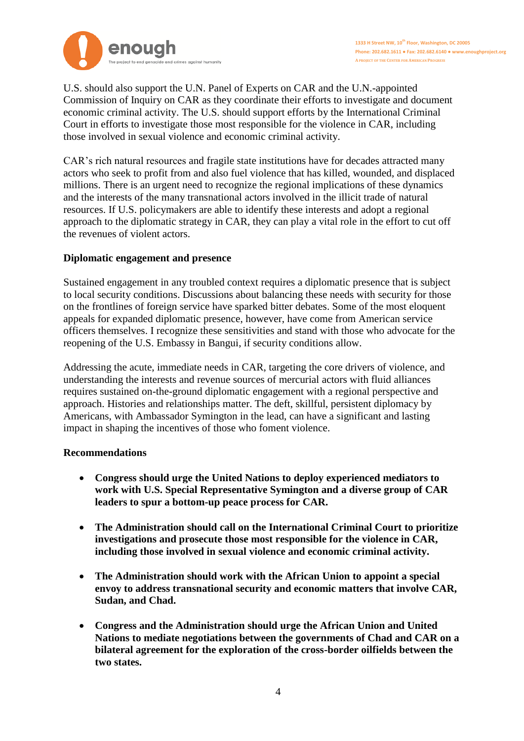

U.S. should also support the U.N. Panel of Experts on CAR and the U.N.-appointed Commission of Inquiry on CAR as they coordinate their efforts to investigate and document economic criminal activity. The U.S. should support efforts by the International Criminal Court in efforts to investigate those most responsible for the violence in CAR, including those involved in sexual violence and economic criminal activity.

CAR's rich natural resources and fragile state institutions have for decades attracted many actors who seek to profit from and also fuel violence that has killed, wounded, and displaced millions. There is an urgent need to recognize the regional implications of these dynamics and the interests of the many transnational actors involved in the illicit trade of natural resources. If U.S. policymakers are able to identify these interests and adopt a regional approach to the diplomatic strategy in CAR, they can play a vital role in the effort to cut off the revenues of violent actors.

# **Diplomatic engagement and presence**

Sustained engagement in any troubled context requires a diplomatic presence that is subject to local security conditions. Discussions about balancing these needs with security for those on the frontlines of foreign service have sparked bitter debates. Some of the most eloquent appeals for expanded diplomatic presence, however, have come from American service officers themselves. I recognize these sensitivities and stand with those who advocate for the reopening of the U.S. Embassy in Bangui, if security conditions allow.

Addressing the acute, immediate needs in CAR, targeting the core drivers of violence, and understanding the interests and revenue sources of mercurial actors with fluid alliances requires sustained on-the-ground diplomatic engagement with a regional perspective and approach. Histories and relationships matter. The deft, skillful, persistent diplomacy by Americans, with Ambassador Symington in the lead, can have a significant and lasting impact in shaping the incentives of those who foment violence.

#### **Recommendations**

- **Congress should urge the United Nations to deploy experienced mediators to work with U.S. Special Representative Symington and a diverse group of CAR leaders to spur a bottom-up peace process for CAR.**
- **The Administration should call on the International Criminal Court to prioritize investigations and prosecute those most responsible for the violence in CAR, including those involved in sexual violence and economic criminal activity.**
- **The Administration should work with the African Union to appoint a special envoy to address transnational security and economic matters that involve CAR, Sudan, and Chad.**
- **Congress and the Administration should urge the African Union and United Nations to mediate negotiations between the governments of Chad and CAR on a bilateral agreement for the exploration of the cross-border oilfields between the two states.**